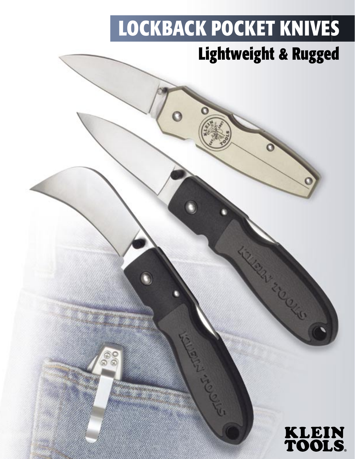# **LOCKBACK POCKET KNIVES**

 $\ddot{\mathbf{o}}$ 

 $\frac{1}{2}$ 

## **Lightweight & Rugged**



21